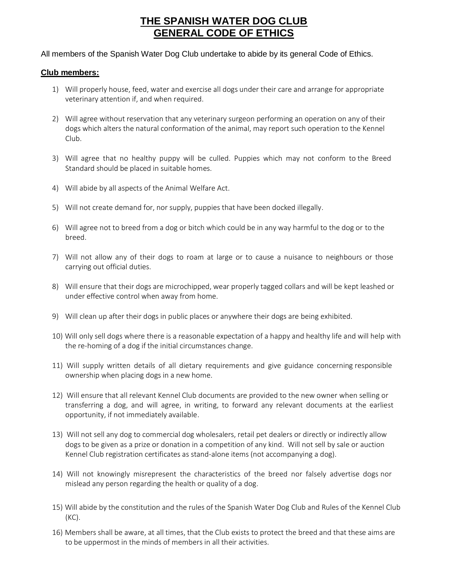## **THE SPANISH WATER DOG CLUB GENERAL CODE OF ETHICS**

All members of the Spanish Water Dog Club undertake to abide by its general Code of Ethics.

## **Club members:**

- 1) Will properly house, feed, water and exercise all dogs under their care and arrange for appropriate veterinary attention if, and when required.
- 2) Will agree without reservation that any veterinary surgeon performing an operation on any of their dogs which alters the natural conformation of the animal, may report such operation to the Kennel Club.
- 3) Will agree that no healthy puppy will be culled. Puppies which may not conform to the Breed Standard should be placed in suitable homes.
- 4) Will abide by all aspects of the Animal Welfare Act.
- 5) Will not create demand for, nor supply, puppies that have been docked illegally.
- 6) Will agree not to breed from a dog or bitch which could be in any way harmful to the dog or to the breed.
- 7) Will not allow any of their dogs to roam at large or to cause a nuisance to neighbours or those carrying out official duties.
- 8) Will ensure that their dogs are microchipped, wear properly tagged collars and will be kept leashed or under effective control when away from home.
- 9) Will clean up after their dogs in public places or anywhere their dogs are being exhibited.
- 10) Will only sell dogs where there is a reasonable expectation of a happy and healthy life and will help with the re-homing of a dog if the initial circumstances change.
- 11) Will supply written details of all dietary requirements and give guidance concerning responsible ownership when placing dogs in a new home.
- 12) Will ensure that all relevant Kennel Club documents are provided to the new owner when selling or transferring a dog, and will agree, in writing, to forward any relevant documents at the earliest opportunity, if not immediately available.
- 13) Will not sell any dog to commercial dog wholesalers, retail pet dealers or directly or indirectly allow dogs to be given as a prize or donation in a competition of any kind. Will not sell by sale or auction Kennel Club registration certificates as stand-alone items (not accompanying a dog).
- 14) Will not knowingly misrepresent the characteristics of the breed nor falsely advertise dogs nor mislead any person regarding the health or quality of a dog.
- 15) Will abide by the constitution and the rules of the Spanish Water Dog Club and Rules of the Kennel Club (KC).
- 16) Members shall be aware, at all times, that the Club exists to protect the breed and that these aims are to be uppermost in the minds of members in all their activities.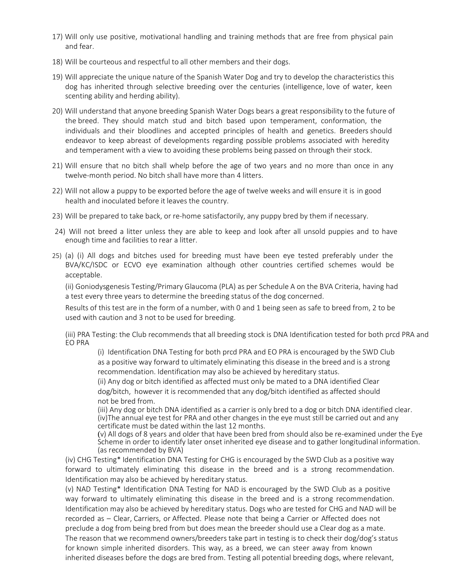- 17) Will only use positive, motivational handling and training methods that are free from physical pain and fear.
- 18) Will be courteous and respectful to all other members and their dogs.
- 19) Will appreciate the unique nature of the Spanish Water Dog and try to develop the characteristics this dog has inherited through selective breeding over the centuries (intelligence, love of water, keen scenting ability and herding ability).
- 20) Will understand that anyone breeding Spanish Water Dogs bears a great responsibility to the future of the breed. They should match stud and bitch based upon temperament, conformation, the individuals and their bloodlines and accepted principles of health and genetics. Breeders should endeavor to keep abreast of developments regarding possible problems associated with heredity and temperament with a view to avoiding these problems being passed on through their stock.
- 21) Will ensure that no bitch shall whelp before the age of two years and no more than once in any twelve-month period. No bitch shall have more than 4 litters.
- 22) Will not allow a puppy to be exported before the age of twelve weeks and will ensure it is in good health and inoculated before it leaves the country.
- 23) Will be prepared to take back, or re-home satisfactorily, any puppy bred by them if necessary.
- 24) Will not breed a litter unless they are able to keep and look after all unsold puppies and to have enough time and facilities to rear a litter.
- 25) (a) (i) All dogs and bitches used for breeding must have been eye tested preferably under the BVA/KC/ISDC or ECVO eye examination although other countries certified schemes would be acceptable.

(ii) Goniodysgenesis Testing/Primary Glaucoma (PLA) as per Schedule A on the BVA Criteria, having had a test every three years to determine the breeding status of the dog concerned.

Results of this test are in the form of a number, with 0 and 1 being seen as safe to breed from, 2 to be used with caution and 3 not to be used for breeding.

(iii) PRA Testing: the Club recommends that all breeding stock is DNA Identification tested for both prcd PRA and EO PRA

(i) Identification DNA Testing for both prcd PRA and EO PRA is encouraged by the SWD Club as a positive way forward to ultimately eliminating this disease in the breed and is a strong recommendation. Identification may also be achieved by hereditary status.

(ii) Any dog or bitch identified as affected must only be mated to a DNA identified Clear dog/bitch, however it is recommended that any dog/bitch identified as affected should not be bred from.

(iii) Any dog or bitch DNA identified as a carrier is only bred to a dog or bitch DNA identified clear. (iv)The annual eye test for PRA and other changes in the eye must still be carried out and any certificate must be dated within the last 12 months.

(v) All dogs of 8 years and older that have been bred from should also be re-examined under the Eye Scheme in order to identify later onset inherited eye disease and to gather longitudinal information. (as recommended by BVA)

(iv) CHG Testing\* Identification DNA Testing for CHG is encouraged by the SWD Club as a positive way forward to ultimately eliminating this disease in the breed and is a strong recommendation. Identification may also be achieved by hereditary status.

(v) NAD Testing\* Identification DNA Testing for NAD is encouraged by the SWD Club as a positive way forward to ultimately eliminating this disease in the breed and is a strong recommendation. Identification may also be achieved by hereditary status. Dogs who are tested for CHG and NAD will be recorded as – Clear, Carriers, or Affected. Please note that being a Carrier or Affected does not preclude a dog from being bred from but does mean the breeder should use a Clear dog as a mate. The reason that we recommend owners/breeders take part in testing is to check their dog/dog's status for known simple inherited disorders. This way, as a breed, we can steer away from known inherited diseases before the dogs are bred from. Testing all potential breeding dogs, where relevant,